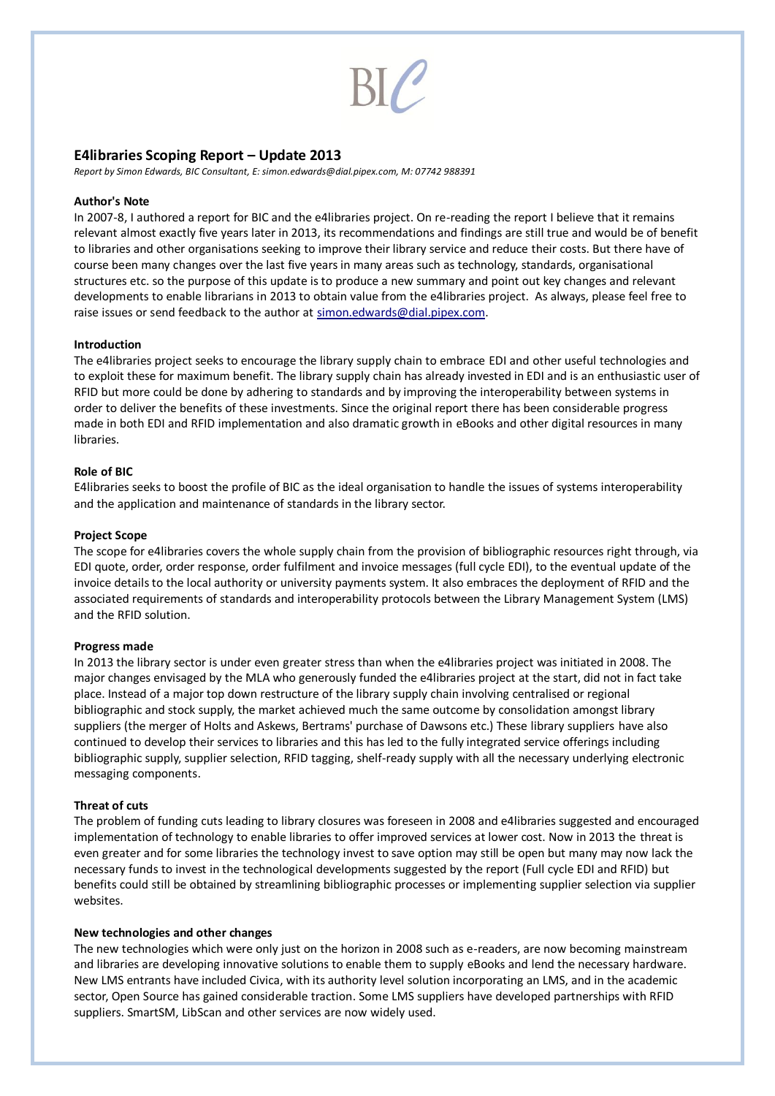# **E4libraries Scoping Report – Update 2013**

*Report by Simon Edwards, BIC Consultant, E: simon.edwards@dial.pipex.com, M: 07742 988391* 

# **Author's Note**

In 2007-8, I authored a report for BIC and the e4libraries project. On re-reading the report I believe that it remains relevant almost exactly five years later in 2013, its recommendations and findings are still true and would be of benefit to libraries and other organisations seeking to improve their library service and reduce their costs. But there have of course been many changes over the last five years in many areas such as technology, standards, organisational structures etc. so the purpose of this update is to produce a new summary and point out key changes and relevant developments to enable librarians in 2013 to obtain value from the e4libraries project. As always, please feel free to raise issues or send feedback to the author at [simon.edwards@dial.pipex.com.](mailto:simon.edwards@dial.pipex.com)

# **Introduction**

The e4libraries project seeks to encourage the library supply chain to embrace EDI and other useful technologies and to exploit these for maximum benefit. The library supply chain has already invested in EDI and is an enthusiastic user of RFID but more could be done by adhering to standards and by improving the interoperability between systems in order to deliver the benefits of these investments. Since the original report there has been considerable progress made in both EDI and RFID implementation and also dramatic growth in eBooks and other digital resources in many libraries.

# **Role of BIC**

E4libraries seeks to boost the profile of BIC as the ideal organisation to handle the issues of systems interoperability and the application and maintenance of standards in the library sector.

# **Project Scope**

The scope for e4libraries covers the whole supply chain from the provision of bibliographic resources right through, via EDI quote, order, order response, order fulfilment and invoice messages (full cycle EDI), to the eventual update of the invoice details to the local authority or university payments system. It also embraces the deployment of RFID and the associated requirements of standards and interoperability protocols between the Library Management System (LMS) and the RFID solution.

# **Progress made**

In 2013 the library sector is under even greater stress than when the e4libraries project was initiated in 2008. The major changes envisaged by the MLA who generously funded the e4libraries project at the start, did not in fact take place. Instead of a major top down restructure of the library supply chain involving centralised or regional bibliographic and stock supply, the market achieved much the same outcome by consolidation amongst library suppliers (the merger of Holts and Askews, Bertrams' purchase of Dawsons etc.) These library suppliers have also continued to develop their services to libraries and this has led to the fully integrated service offerings including bibliographic supply, supplier selection, RFID tagging, shelf-ready supply with all the necessary underlying electronic messaging components.

# **Threat of cuts**

The problem of funding cuts leading to library closures was foreseen in 2008 and e4libraries suggested and encouraged implementation of technology to enable libraries to offer improved services at lower cost. Now in 2013 the threat is even greater and for some libraries the technology invest to save option may still be open but many may now lack the necessary funds to invest in the technological developments suggested by the report (Full cycle EDI and RFID) but benefits could still be obtained by streamlining bibliographic processes or implementing supplier selection via supplier websites.

# **New technologies and other changes**

The new technologies which were only just on the horizon in 2008 such as e-readers, are now becoming mainstream and libraries are developing innovative solutions to enable them to supply eBooks and lend the necessary hardware. New LMS entrants have included Civica, with its authority level solution incorporating an LMS, and in the academic sector, Open Source has gained considerable traction. Some LMS suppliers have developed partnerships with RFID suppliers. SmartSM, LibScan and other services are now widely used.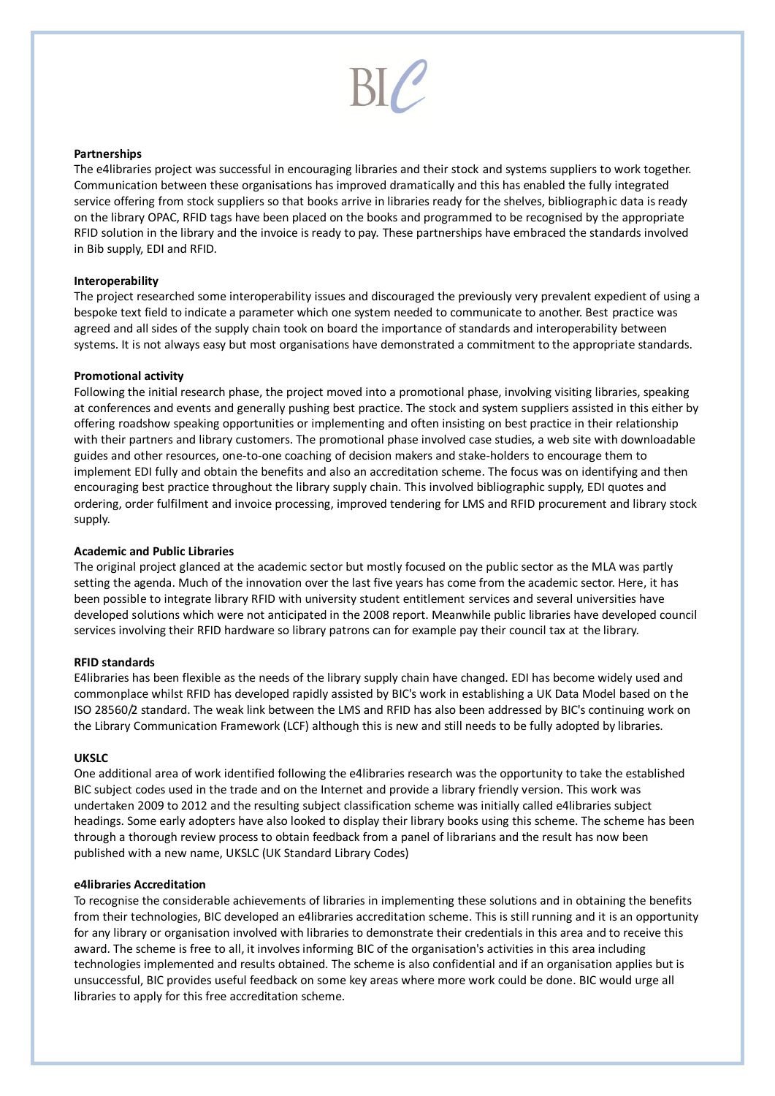# **Partnerships**

The e4libraries project was successful in encouraging libraries and their stock and systems suppliers to work together. Communication between these organisations has improved dramatically and this has enabled the fully integrated service offering from stock suppliers so that books arrive in libraries ready for the shelves, bibliographic data is ready on the library OPAC, RFID tags have been placed on the books and programmed to be recognised by the appropriate RFID solution in the library and the invoice is ready to pay. These partnerships have embraced the standards involved in Bib supply, EDI and RFID.

# **Interoperability**

The project researched some interoperability issues and discouraged the previously very prevalent expedient of using a bespoke text field to indicate a parameter which one system needed to communicate to another. Best practice was agreed and all sides of the supply chain took on board the importance of standards and interoperability between systems. It is not always easy but most organisations have demonstrated a commitment to the appropriate standards.

# **Promotional activity**

Following the initial research phase, the project moved into a promotional phase, involving visiting libraries, speaking at conferences and events and generally pushing best practice. The stock and system suppliers assisted in this either by offering roadshow speaking opportunities or implementing and often insisting on best practice in their relationship with their partners and library customers. The promotional phase involved case studies, a web site with downloadable guides and other resources, one-to-one coaching of decision makers and stake-holders to encourage them to implement EDI fully and obtain the benefits and also an accreditation scheme. The focus was on identifying and then encouraging best practice throughout the library supply chain. This involved bibliographic supply, EDI quotes and ordering, order fulfilment and invoice processing, improved tendering for LMS and RFID procurement and library stock supply.

# **Academic and Public Libraries**

The original project glanced at the academic sector but mostly focused on the public sector as the MLA was partly setting the agenda. Much of the innovation over the last five years has come from the academic sector. Here, it has been possible to integrate library RFID with university student entitlement services and several universities have developed solutions which were not anticipated in the 2008 report. Meanwhile public libraries have developed council services involving their RFID hardware so library patrons can for example pay their council tax at the library.

# **RFID standards**

E4libraries has been flexible as the needs of the library supply chain have changed. EDI has become widely used and commonplace whilst RFID has developed rapidly assisted by BIC's work in establishing a UK Data Model based on the ISO 28560/2 standard. The weak link between the LMS and RFID has also been addressed by BIC's continuing work on the Library Communication Framework (LCF) although this is new and still needs to be fully adopted by libraries.

# **UKSLC**

One additional area of work identified following the e4libraries research was the opportunity to take the established BIC subject codes used in the trade and on the Internet and provide a library friendly version. This work was undertaken 2009 to 2012 and the resulting subject classification scheme was initially called e4libraries subject headings. Some early adopters have also looked to display their library books using this scheme. The scheme has been through a thorough review process to obtain feedback from a panel of librarians and the result has now been published with a new name, UKSLC (UK Standard Library Codes)

# **e4libraries Accreditation**

To recognise the considerable achievements of libraries in implementing these solutions and in obtaining the benefits from their technologies, BIC developed an e4libraries accreditation scheme. This is still running and it is an opportunity for any library or organisation involved with libraries to demonstrate their credentials in this area and to receive this award. The scheme is free to all, it involves informing BIC of the organisation's activities in this area including technologies implemented and results obtained. The scheme is also confidential and if an organisation applies but is unsuccessful, BIC provides useful feedback on some key areas where more work could be done. BIC would urge all libraries to apply for this free accreditation scheme.